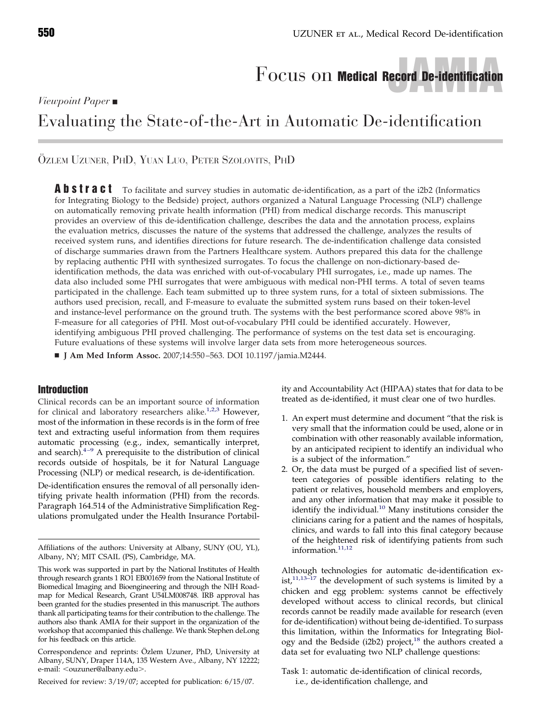# $\text{Focus on }$  **Medical Record De-identification**

## *Viewpoint Paper*

## Evaluating the State-of-the-Art in Automatic De-identification

ÖZLEM UZUNER, PHD, YUAN LUO, PETER SZOLOVITS, PHD

**Abstract** To facilitate and survey studies in automatic de-identification, as a part of the i2b2 (Informatics for Integrating Biology to the Bedside) project, authors organized a Natural Language Processing (NLP) challenge on automatically removing private health information (PHI) from medical discharge records. This manuscript provides an overview of this de-identification challenge, describes the data and the annotation process, explains the evaluation metrics, discusses the nature of the systems that addressed the challenge, analyzes the results of received system runs, and identifies directions for future research. The de-indentification challenge data consisted of discharge summaries drawn from the Partners Healthcare system. Authors prepared this data for the challenge by replacing authentic PHI with synthesized surrogates. To focus the challenge on non-dictionary-based deidentification methods, the data was enriched with out-of-vocabulary PHI surrogates, i.e., made up names. The data also included some PHI surrogates that were ambiguous with medical non-PHI terms. A total of seven teams participated in the challenge. Each team submitted up to three system runs, for a total of sixteen submissions. The authors used precision, recall, and F-measure to evaluate the submitted system runs based on their token-level and instance-level performance on the ground truth. The systems with the best performance scored above 98% in F-measure for all categories of PHI. Most out-of-vocabulary PHI could be identified accurately. However, identifying ambiguous PHI proved challenging. The performance of systems on the test data set is encouraging. Future evaluations of these systems will involve larger data sets from more heterogeneous sources.

**J Am Med Inform Assoc.** 2007;14:550 –563. DOI 10.1197/jamia.M2444.

## **Introduction**

Clinical records can be an important source of information for clinical and laboratory researchers alike.<sup>1,2,3</sup> However, most of the information in these records is in the form of free text and extracting useful information from them requires automatic processing (e.g., index, semantically interpret, and search). $4-9$  A prerequisite to the distribution of clinical records outside of hospitals, be it for Natural Language Processing (NLP) or medical research, is de-identification.

De-identification ensures the removal of all personally identifying private health information (PHI) from the records. Paragraph 164.514 of the Administrative Simplification Regulations promulgated under the Health Insurance Portabil-

Correspondence and reprints: Özlem Uzuner, PhD, University at Albany, SUNY, Draper 114A, 135 Western Ave., Albany, NY 12222; e-mail: <ouzuner@albany.edu>.

Received for review: 3/19/07; accepted for publication: 6/15/07.

ity and Accountability Act (HIPAA) states that for data to be treated as de-identified, it must clear one of two hurdles.

- 1. An expert must determine and document "that the risk is very small that the information could be used, alone or in combination with other reasonably available information, by an anticipated recipient to identify an individual who is a subject of the information."
- 2. Or, the data must be purged of a specified list of seventeen categories of possible identifiers relating to the patient or relatives, household members and employers, and any other information that may make it possible to identify the individual.<sup>10</sup> Many institutions consider the clinicians caring for a patient and the names of hospitals, clinics, and wards to fall into this final category because of the heightened risk of identifying patients from such information.<sup>11,12</sup>

Although technologies for automatic de-identification exist, $11,13-17$  the development of such systems is limited by a chicken and egg problem: systems cannot be effectively developed without access to clinical records, but clinical records cannot be readily made available for research (even for de-identification) without being de-identified. To surpass this limitation, within the Informatics for Integrating Biology and the Bedside (i2b2) project, $18$  the authors created a data set for evaluating two NLP challenge questions:

Affiliations of the authors: University at Albany, SUNY (OU, YL), Albany, NY; MIT CSAIL (PS), Cambridge, MA.

This work was supported in part by the National Institutes of Health through research grants 1 RO1 EB001659 from the National Institute of Biomedical Imaging and Bioengineering and through the NIH Roadmap for Medical Research, Grant U54LM008748. IRB approval has been granted for the studies presented in this manuscript. The authors thank all participating teams for their contribution to the challenge. The authors also thank AMIA for their support in the organization of the workshop that accompanied this challenge. We thank Stephen deLong for his feedback on this article.

Task 1: automatic de-identification of clinical records, i.e., de-identification challenge, and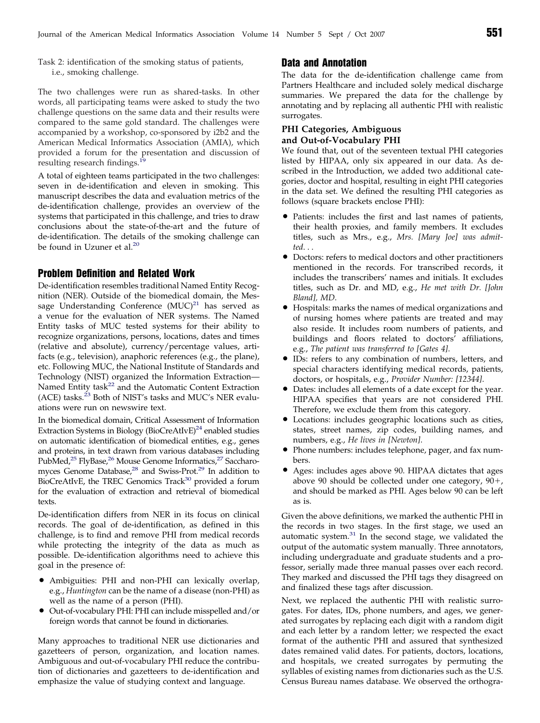Task 2: identification of the smoking status of patients, i.e., smoking challenge.

The two challenges were run as shared-tasks. In other words, all participating teams were asked to study the two challenge questions on the same data and their results were compared to the same gold standard. The challenges were accompanied by a workshop, co-sponsored by i2b2 and the American Medical Informatics Association (AMIA), which provided a forum for the presentation and discussion of resulting research findings.<sup>19</sup>

A total of eighteen teams participated in the two challenges: seven in de-identification and eleven in smoking. This manuscript describes the data and evaluation metrics of the de-identification challenge, provides an overview of the systems that participated in this challenge, and tries to draw conclusions about the state-of-the-art and the future of de-identification. The details of the smoking challenge can be found in Uzuner et al.<sup>20</sup>

## **Problem Definition and Related Work**

De-identification resembles traditional Named Entity Recognition (NER). Outside of the biomedical domain, the Message Understanding Conference  $(MUC)^{21}$  has served as a venue for the evaluation of NER systems. The Named Entity tasks of MUC tested systems for their ability to recognize organizations, persons, locations, dates and times (relative and absolute), currency/percentage values, artifacts (e.g., television), anaphoric references (e.g., the plane), etc. Following MUC, the National Institute of Standards and Technology (NIST) organized the Information Extraction— Named Entity task<sup>22</sup> and the Automatic Content Extraction (ACE) tasks.<sup>23</sup> Both of NIST's tasks and MUC's NER evaluations were run on newswire text.

In the biomedical domain, Critical Assessment of Information Extraction Systems in Biology (BioCreAtIvE) $^{24}$  enabled studies on automatic identification of biomedical entities, e.g., genes and proteins, in text drawn from various databases including PubMed,<sup>25</sup> FlyBase,<sup>26</sup> Mouse Genome Informatics,<sup>27</sup> Saccharomyces Genome Database,<sup>28</sup> and Swiss-Prot.<sup>29</sup> In addition to BioCreAtIvE, the TREC Genomics Track<sup>30</sup> provided a forum for the evaluation of extraction and retrieval of biomedical texts.

De-identification differs from NER in its focus on clinical records. The goal of de-identification, as defined in this challenge, is to find and remove PHI from medical records while protecting the integrity of the data as much as possible. De-identification algorithms need to achieve this goal in the presence of:

- Ambiguities: PHI and non-PHI can lexically overlap, e.g., *Huntington* can be the name of a disease (non-PHI) as well as the name of a person (PHI).
- Out-of-vocabulary PHI: PHI can include misspelled and/or foreign words that cannot be found in dictionaries.

Many approaches to traditional NER use dictionaries and gazetteers of person, organization, and location names. Ambiguous and out-of-vocabulary PHI reduce the contribution of dictionaries and gazetteers to de-identification and emphasize the value of studying context and language.

#### **Data and Annotation**

The data for the de-identification challenge came from Partners Healthcare and included solely medical discharge summaries. We prepared the data for the challenge by annotating and by replacing all authentic PHI with realistic surrogates.

## **PHI Categories, Ambiguous and Out-of-Vocabulary PHI**

We found that, out of the seventeen textual PHI categories listed by HIPAA, only six appeared in our data. As described in the Introduction, we added two additional categories, doctor and hospital, resulting in eight PHI categories in the data set. We defined the resulting PHI categories as follows (square brackets enclose PHI):

- Patients: includes the first and last names of patients, their health proxies, and family members. It excludes titles, such as Mrs., e.g., *Mrs. [Mary Joe] was admitted*...
- Doctors: refers to medical doctors and other practitioners mentioned in the records. For transcribed records, it includes the transcribers' names and initials. It excludes titles, such as Dr. and MD, e.g., *He met with Dr. [John Bland], MD*.
- Hospitals: marks the names of medical organizations and of nursing homes where patients are treated and may also reside. It includes room numbers of patients, and buildings and floors related to doctors' affiliations, e.g., *The patient was transferred to [Gates 4]*.
- IDs: refers to any combination of numbers, letters, and special characters identifying medical records, patients, doctors, or hospitals, e.g., *Provider Number: [12344]*.
- Dates: includes all elements of a date except for the year. HIPAA specifies that years are not considered PHI. Therefore, we exclude them from this category.
- Locations: includes geographic locations such as cities, states, street names, zip codes, building names, and numbers, e.g., *He lives in [Newton]*.
- Phone numbers: includes telephone, pager, and fax numbers.
- Ages: includes ages above 90. HIPAA dictates that ages above 90 should be collected under one category,  $90+$ , and should be marked as PHI. Ages below 90 can be left as is.

Given the above definitions, we marked the authentic PHI in the records in two stages. In the first stage, we used an automatic system.<sup>31</sup> In the second stage, we validated the output of the automatic system manually. Three annotators, including undergraduate and graduate students and a professor, serially made three manual passes over each record. They marked and discussed the PHI tags they disagreed on and finalized these tags after discussion.

Next, we replaced the authentic PHI with realistic surrogates. For dates, IDs, phone numbers, and ages, we generated surrogates by replacing each digit with a random digit and each letter by a random letter; we respected the exact format of the authentic PHI and assured that synthesized dates remained valid dates. For patients, doctors, locations, and hospitals, we created surrogates by permuting the syllables of existing names from dictionaries such as the U.S. Census Bureau names database. We observed the orthogra-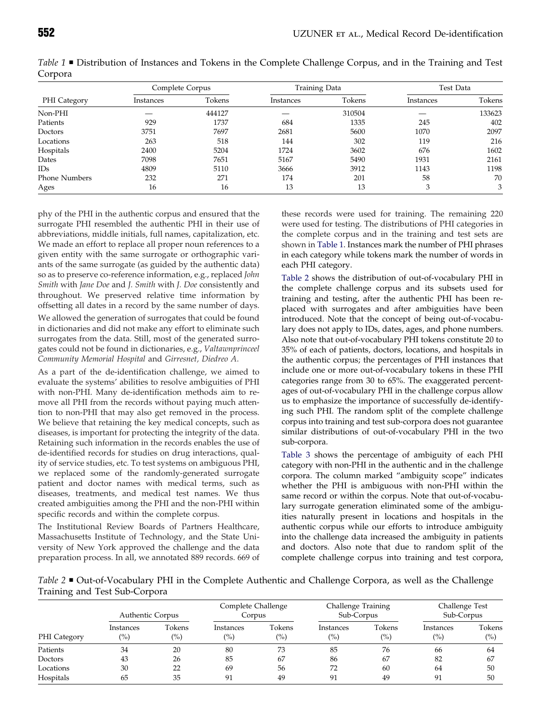|                      | Complete Corpus |        | Training Data |        | Test Data |        |  |
|----------------------|-----------------|--------|---------------|--------|-----------|--------|--|
| PHI Category         | Instances       | Tokens | Instances     | Tokens | Instances | Tokens |  |
| Non-PHI              |                 | 444127 |               | 310504 |           | 133623 |  |
| Patients             | 929             | 1737   | 684           | 1335   | 245       | 402    |  |
| Doctors              | 3751            | 7697   | 2681          | 5600   | 1070      | 2097   |  |
| Locations            | 263             | 518    | 144           | 302    | 119       | 216    |  |
| Hospitals            | 2400            | 5204   | 1724          | 3602   | 676       | 1602   |  |
| Dates                | 7098            | 7651   | 5167          | 5490   | 1931      | 2161   |  |
| IDs                  | 4809            | 5110   | 3666          | 3912   | 1143      | 1198   |  |
| <b>Phone Numbers</b> | 232             | 271    | 174           | 201    | 58        | 70     |  |
| Ages                 | 16              | 16     | 13            | 13     | 3         | 3      |  |

<span id="page-2-0"></span>*Table 1* • Distribution of Instances and Tokens in the Complete Challenge Corpus, and in the Training and Test Corpora

phy of the PHI in the authentic corpus and ensured that the surrogate PHI resembled the authentic PHI in their use of abbreviations, middle initials, full names, capitalization, etc. We made an effort to replace all proper noun references to a given entity with the same surrogate or orthographic variants of the same surrogate (as guided by the authentic data) so as to preserve co-reference information, e.g., replaced *John Smith* with *Jane Doe* and *J. Smith* with *J. Doe* consistently and throughout. We preserved relative time information by offsetting all dates in a record by the same number of days. We allowed the generation of surrogates that could be found in dictionaries and did not make any effort to eliminate such surrogates from the data. Still, most of the generated surrogates could not be found in dictionaries, e.g., *Valtawnprinceel Community Memorial Hospital* and *Girresnet, Diedreo A*.

As a part of the de-identification challenge, we aimed to evaluate the systems' abilities to resolve ambiguities of PHI with non-PHI. Many de-identification methods aim to remove all PHI from the records without paying much attention to non-PHI that may also get removed in the process. We believe that retaining the key medical concepts, such as diseases, is important for protecting the integrity of the data. Retaining such information in the records enables the use of de-identified records for studies on drug interactions, quality of service studies, etc. To test systems on ambiguous PHI, we replaced some of the randomly-generated surrogate patient and doctor names with medical terms, such as diseases, treatments, and medical test names. We thus created ambiguities among the PHI and the non-PHI within specific records and within the complete corpus.

The Institutional Review Boards of Partners Healthcare, Massachusetts Institute of Technology, and the State University of New York approved the challenge and the data preparation process. In all, we annotated 889 records. 669 of

these records were used for training. The remaining 220 were used for testing. The distributions of PHI categories in the complete corpus and in the training and test sets are shown in Table 1. Instances mark the number of PHI phrases in each category while tokens mark the number of words in each PHI category.

Table 2 shows the distribution of out-of-vocabulary PHI in the complete challenge corpus and its subsets used for training and testing, after the authentic PHI has been replaced with surrogates and after ambiguities have been introduced. Note that the concept of being out-of-vocabulary does not apply to IDs, dates, ages, and phone numbers. Also note that out-of-vocabulary PHI tokens constitute 20 to 35% of each of patients, doctors, locations, and hospitals in the authentic corpus; the percentages of PHI instances that include one or more out-of-vocabulary tokens in these PHI categories range from 30 to 65%. The exaggerated percentages of out-of-vocabulary PHI in the challenge corpus allow us to emphasize the importance of successfully de-identifying such PHI. The random split of the complete challenge corpus into training and test sub-corpora does not guarantee similar distributions of out-of-vocabulary PHI in the two sub-corpora.

[Table 3](#page-3-0) shows the percentage of ambiguity of each PHI category with non-PHI in the authentic and in the challenge corpora. The column marked "ambiguity scope" indicates whether the PHI is ambiguous with non-PHI within the same record or within the corpus. Note that out-of-vocabulary surrogate generation eliminated some of the ambiguities naturally present in locations and hospitals in the authentic corpus while our efforts to introduce ambiguity into the challenge data increased the ambiguity in patients and doctors. Also note that due to random split of the complete challenge corpus into training and test corpora,

*Table 2* • Out-of-Vocabulary PHI in the Complete Authentic and Challenge Corpora, as well as the Challenge Training and Test Sub-Corpora

|              | <b>Authentic Corpus</b> |                  | Complete Challenge<br>Corpus |               | Challenge Training<br>Sub-Corpus |               | Challenge Test<br>Sub-Corpus |                  |  |
|--------------|-------------------------|------------------|------------------------------|---------------|----------------------------------|---------------|------------------------------|------------------|--|
| PHI Category | Instances<br>$(\%)$     | Tokens<br>$(\%)$ | Instances<br>(%)             | Tokens<br>(%) | Instances<br>(9)                 | Tokens<br>(%) | Instances<br>$(\%)$          | Tokens<br>$(\%)$ |  |
| Patients     | 34                      | 20               | 80                           | 73            | 85                               | 76            | 66                           | 64               |  |
| Doctors      | 43                      | 26               | 85                           | 67            | 86                               | 67            | 82                           | 67               |  |
| Locations    | 30                      | 22               | 69                           | 56            | 72                               | 60            | 64                           | 50               |  |
| Hospitals    | 65                      | 35               | 91                           | 49            | 91                               | 49            | 91                           | 50               |  |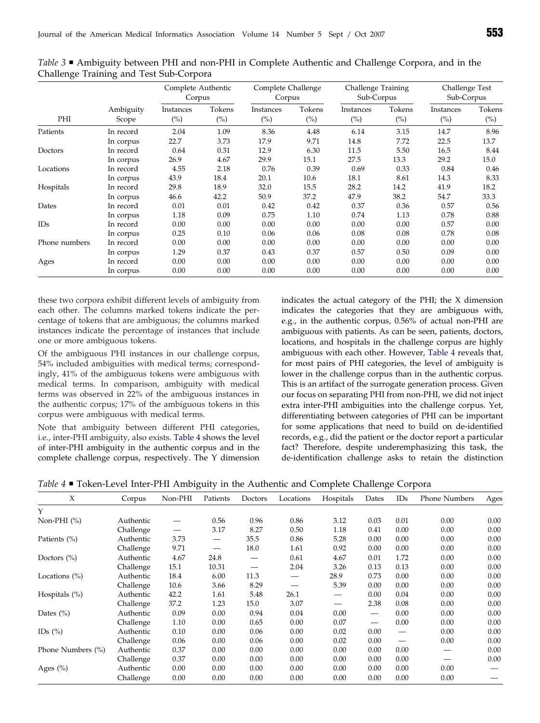|               |                    | Complete Authentic<br>Corpus |                  | Complete Challenge<br>Corpus |                  | Challenge Training<br>Sub-Corpus |                                 | Challenge Test<br>Sub-Corpus |                          |  |
|---------------|--------------------|------------------------------|------------------|------------------------------|------------------|----------------------------------|---------------------------------|------------------------------|--------------------------|--|
| PHI           | Ambiguity<br>Scope | Instances<br>(%)             | Tokens<br>$(\%)$ | Instances<br>$(\%)$          | Tokens<br>$(\%)$ | Instances<br>(%)                 | Tokens<br>$(^{\circ}\!\!/\!_0)$ | Instances<br>$(\%)$          | Tokens<br>$\binom{0}{0}$ |  |
| Patients      | In record          | 2.04                         | 1.09             | 8.36                         | 4.48             | 6.14                             | 3.15                            | 14.7                         | 8.96                     |  |
|               | In corpus          | 22.7                         | 3.73             | 17.9                         | 9.71             | 14.8                             | 7.72                            | 22.5                         | 13.7                     |  |
| Doctors       | In record          | 0.64                         | 0.31             | 12.9                         | 6.30             | 11.5                             | 5.50                            | 16.5                         | 8.44                     |  |
|               | In corpus          | 26.9                         | 4.67             | 29.9                         | 15.1             | 27.5                             | 13.3                            | 29.2                         | 15.0                     |  |
| Locations     | In record          | 4.55                         | 2.18             | 0.76                         | 0.39             | 0.69                             | 0.33                            | 0.84                         | 0.46                     |  |
|               | In corpus          | 43.9                         | 18.4             | 20.1                         | 10.6             | 18.1                             | 8.61                            | 14.3                         | 8.33                     |  |
| Hospitals     | In record          | 29.8                         | 18.9             | 32.0                         | 15.5             | 28.2                             | 14.2                            | 41.9                         | 18.2                     |  |
|               | In corpus          | 46.6                         | 42.2             | 50.9                         | 37.2             | 47.9                             | 38.2                            | 54.7                         | 33.3                     |  |
| Dates         | In record          | 0.01                         | 0.01             | 0.42                         | 0.42             | 0.37                             | 0.36                            | 0.57                         | 0.56                     |  |
|               | In corpus          | 1.18                         | 0.09             | 0.75                         | 1.10             | 0.74                             | 1.13                            | 0.78                         | 0.88                     |  |
| IDs           | In record          | 0.00                         | 0.00             | 0.00                         | 0.00             | 0.00                             | 0.00                            | 0.57                         | 0.00                     |  |
|               | In corpus          | 0.25                         | 0.10             | 0.06                         | 0.06             | 0.08                             | 0.08                            | 0.78                         | 0.08                     |  |
| Phone numbers | In record          | 0.00                         | 0.00             | 0.00                         | 0.00             | 0.00                             | 0.00                            | 0.00                         | 0.00                     |  |
|               | In corpus          | 1.29                         | 0.37             | 0.43                         | 0.37             | 0.57                             | 0.50                            | 0.09                         | 0.00                     |  |
| Ages          | In record          | 0.00                         | 0.00             | 0.00                         | 0.00             | 0.00                             | 0.00                            | 0.00                         | 0.00                     |  |
|               | In corpus          | 0.00                         | 0.00             | 0.00                         | 0.00             | 0.00                             | 0.00                            | 0.00                         | 0.00                     |  |

<span id="page-3-0"></span>*Table 3* ■ Ambiguity between PHI and non-PHI in Complete Authentic and Challenge Corpora, and in the Challenge Training and Test Sub-Corpora

these two corpora exhibit different levels of ambiguity from each other. The columns marked tokens indicate the percentage of tokens that are ambiguous; the columns marked instances indicate the percentage of instances that include one or more ambiguous tokens.

Of the ambiguous PHI instances in our challenge corpus, 54% included ambiguities with medical terms; correspondingly, 41% of the ambiguous tokens were ambiguous with medical terms. In comparison, ambiguity with medical terms was observed in 22% of the ambiguous instances in the authentic corpus; 17% of the ambiguous tokens in this corpus were ambiguous with medical terms.

Note that ambiguity between different PHI categories, i.e., inter-PHI ambiguity, also exists. Table 4 shows the level of inter-PHI ambiguity in the authentic corpus and in the complete challenge corpus, respectively. The Y dimension indicates the actual category of the PHI; the X dimension indicates the categories that they are ambiguous with, e.g., in the authentic corpus, 0.56% of actual non-PHI are ambiguous with patients. As can be seen, patients, doctors, locations, and hospitals in the challenge corpus are highly ambiguous with each other. However, Table 4 reveals that, for most pairs of PHI categories, the level of ambiguity is lower in the challenge corpus than in the authentic corpus. This is an artifact of the surrogate generation process. Given our focus on separating PHI from non-PHI, we did not inject extra inter-PHI ambiguities into the challenge corpus. Yet, differentiating between categories of PHI can be important for some applications that need to build on de-identified records, e.g., did the patient or the doctor report a particular fact? Therefore, despite underemphasizing this task, the de-identification challenge asks to retain the distinction

*Table 4* Token-Level Inter-PHI Ambiguity in the Authentic and Complete Challenge Corpora

| X                 | Corpus    | Non-PHI                  | Patients                 | Doctors | Locations                | Hospitals                | Dates                    | IDs  | <b>Phone Numbers</b> | Ages |
|-------------------|-----------|--------------------------|--------------------------|---------|--------------------------|--------------------------|--------------------------|------|----------------------|------|
| Y                 |           |                          |                          |         |                          |                          |                          |      |                      |      |
| Non-PHI $(%)$     | Authentic |                          | 0.56                     | 0.96    | 0.86                     | 3.12                     | 0.03                     | 0.01 | 0.00                 | 0.00 |
|                   | Challenge | $\overline{\phantom{0}}$ | 3.17                     | 8.27    | 0.50                     | 1.18                     | 0.41                     | 0.00 | 0.00                 | 0.00 |
| Patients $(\% )$  | Authentic | 3.73                     |                          | 35.5    | 0.86                     | 5.28                     | 0.00                     | 0.00 | 0.00                 | 0.00 |
|                   | Challenge | 9.71                     | $\overline{\phantom{0}}$ | 18.0    | 1.61                     | 0.92                     | 0.00                     | 0.00 | 0.00                 | 0.00 |
| Doctors $(\% )$   | Authentic | 4.67                     | 24.8                     | —       | 0.61                     | 4.67                     | 0.01                     | 1.72 | 0.00                 | 0.00 |
|                   | Challenge | 15.1                     | 10.31                    |         | 2.04                     | 3.26                     | 0.13                     | 0.13 | 0.00                 | 0.00 |
| Locations $(\%)$  | Authentic | 18.4                     | 6.00                     | 11.3    | $\hspace{0.05cm}$        | 28.9                     | 0.73                     | 0.00 | 0.00                 | 0.00 |
|                   | Challenge | 10.6                     | 3.66                     | 8.29    | $\overline{\phantom{0}}$ | 5.39                     | 0.00                     | 0.00 | 0.00                 | 0.00 |
| Hospitals $(\%)$  | Authentic | 42.2                     | 1.61                     | 5.48    | 26.1                     | $\overline{\phantom{0}}$ | 0.00                     | 0.04 | 0.00                 | 0.00 |
|                   | Challenge | 37.2                     | 1.23                     | 15.0    | 3.07                     | $\overline{\phantom{m}}$ | 2.38                     | 0.08 | 0.00                 | 0.00 |
| Dates $(\% )$     | Authentic | 0.09                     | 0.00                     | 0.94    | 0.04                     | 0.00                     | $\hspace{0.05cm}$        | 0.00 | 0.00                 | 0.00 |
|                   | Challenge | 1.10                     | 0.00                     | 0.65    | 0.00                     | 0.07                     | $\overline{\phantom{m}}$ | 0.00 | 0.00                 | 0.00 |
| IDs $(\% )$       | Authentic | 0.10                     | 0.00                     | 0.06    | 0.00                     | 0.02                     | 0.00                     |      | 0.00                 | 0.00 |
|                   | Challenge | 0.06                     | 0.00                     | 0.06    | 0.00                     | 0.02                     | 0.00                     |      | 0.00                 | 0.00 |
| Phone Numbers (%) | Authentic | 0.37                     | 0.00                     | 0.00    | 0.00                     | 0.00                     | 0.00                     | 0.00 | —                    | 0.00 |
|                   | Challenge | 0.37                     | 0.00                     | 0.00    | 0.00                     | 0.00                     | 0.00                     | 0.00 |                      | 0.00 |
| Ages $(\% )$      | Authentic | 0.00                     | 0.00                     | 0.00    | 0.00                     | 0.00                     | 0.00                     | 0.00 | 0.00                 |      |
|                   | Challenge | 0.00                     | 0.00                     | 0.00    | 0.00                     | 0.00                     | 0.00                     | 0.00 | 0.00                 |      |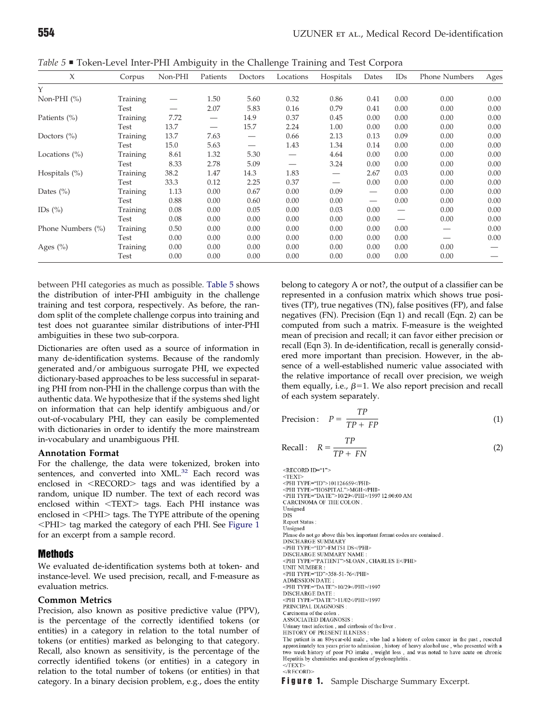| X                 | Corpus   | Non-PHI                         | Patients                        | Doctors                         | Locations                      | Hospitals                       | Dates                    | IDs                             | Phone Numbers | Ages                            |
|-------------------|----------|---------------------------------|---------------------------------|---------------------------------|--------------------------------|---------------------------------|--------------------------|---------------------------------|---------------|---------------------------------|
| Y                 |          |                                 |                                 |                                 |                                |                                 |                          |                                 |               |                                 |
| Non-PHI $(\%)$    | Training |                                 | 1.50                            | 5.60                            | 0.32                           | 0.86                            | 0.41                     | 0.00                            | 0.00          | 0.00                            |
|                   | Test     | $\hspace{0.1mm}-\hspace{0.1mm}$ | 2.07                            | 5.83                            | 0.16                           | 0.79                            | 0.41                     | 0.00                            | 0.00          | 0.00                            |
| Patients $(\% )$  | Training | 7.72                            | $\hspace{0.1mm}-\hspace{0.1mm}$ | 14.9                            | 0.37                           | 0.45                            | 0.00                     | 0.00                            | 0.00          | 0.00                            |
|                   | Test     | 13.7                            | $\overbrace{\qquad \qquad }^{}$ | 15.7                            | 2.24                           | 1.00                            | 0.00                     | 0.00                            | 0.00          | 0.00                            |
| Doctors $(\% )$   | Training | 13.7                            | 7.63                            | $\overline{\phantom{m}}$        | 0.66                           | 2.13                            | 0.13                     | 0.09                            | 0.00          | 0.00                            |
|                   | Test     | 15.0                            | 5.63                            | $\hspace{0.1mm}-\hspace{0.1mm}$ | 1.43                           | 1.34                            | 0.14                     | 0.00                            | 0.00          | 0.00                            |
| Locations $(\%)$  | Training | 8.61                            | 1.32                            | 5.30                            | $\overline{\phantom{0}}$       | 4.64                            | 0.00                     | 0.00                            | 0.00          | 0.00                            |
|                   | Test     | 8.33                            | 2.78                            | 5.09                            | $\qquad \qquad \longleftarrow$ | 3.24                            | 0.00                     | 0.00                            | 0.00          | 0.00                            |
| Hospitals $(\%)$  | Training | 38.2                            | 1.47                            | 14.3                            | 1.83                           | $\hspace{0.1mm}-\hspace{0.1mm}$ | 2.67                     | 0.03                            | 0.00          | 0.00                            |
|                   | Test     | 33.3                            | 0.12                            | 2.25                            | 0.37                           | $\hspace{0.1mm}-\hspace{0.1mm}$ | 0.00                     | 0.00                            | 0.00          | 0.00                            |
| Dates $(\% )$     | Training | 1.13                            | 0.00                            | 0.67                            | 0.00                           | 0.09                            | $\hspace{0.05cm}$        | 0.00                            | 0.00          | 0.00                            |
|                   | Test     | 0.88                            | 0.00                            | 0.60                            | 0.00                           | 0.00                            | $\overline{\phantom{m}}$ | 0.00                            | 0.00          | 0.00                            |
| IDs $(\% )$       | Training | 0.08                            | 0.00                            | 0.05                            | 0.00                           | 0.03                            | 0.00                     | $\hspace{0.1mm}-\hspace{0.1mm}$ | 0.00          | 0.00                            |
|                   | Test     | 0.08                            | 0.00                            | 0.00                            | 0.00                           | 0.00                            | 0.00                     | $\hspace{0.1mm}-\hspace{0.1mm}$ | 0.00          | 0.00                            |
| Phone Numbers (%) | Training | 0.50                            | 0.00                            | 0.00                            | 0.00                           | 0.00                            | 0.00                     | 0.00                            |               | 0.00                            |
|                   | Test     | 0.00                            | 0.00                            | 0.00                            | 0.00                           | 0.00                            | 0.00                     | 0.00                            |               | 0.00                            |
| Ages $(\% )$      | Training | 0.00                            | 0.00                            | 0.00                            | 0.00                           | 0.00                            | 0.00                     | 0.00                            | 0.00          | $\hspace{0.1mm}-\hspace{0.1mm}$ |
|                   | Test     | 0.00                            | 0.00                            | 0.00                            | 0.00                           | 0.00                            | 0.00                     | 0.00                            | 0.00          |                                 |

<span id="page-4-0"></span>*Table 5* • Token-Level Inter-PHI Ambiguity in the Challenge Training and Test Corpora

between PHI categories as much as possible. Table 5 shows the distribution of inter-PHI ambiguity in the challenge training and test corpora, respectively. As before, the random split of the complete challenge corpus into training and test does not guarantee similar distributions of inter-PHI ambiguities in these two sub-corpora.

Dictionaries are often used as a source of information in many de-identification systems. Because of the randomly generated and/or ambiguous surrogate PHI, we expected dictionary-based approaches to be less successful in separating PHI from non-PHI in the challenge corpus than with the authentic data. We hypothesize that if the systems shed light on information that can help identify ambiguous and/or out-of-vocabulary PHI, they can easily be complemented with dictionaries in order to identify the more mainstream in-vocabulary and unambiguous PHI.

#### **Annotation Format**

For the challenge, the data were tokenized, broken into sentences, and converted into XML.<sup>32</sup> Each record was enclosed in <RECORD> tags and was identified by a random, unique ID number. The text of each record was enclosed within <TEXT> tags. Each PHI instance was enclosed in <PHI> tags. The TYPE attribute of the opening <PHI> tag marked the category of each PHI. See Figure 1 for an excerpt from a sample record.

## **Methods**

We evaluated de-identification systems both at token- and instance-level. We used precision, recall, and F-measure as evaluation metrics.

### **Common Metrics**

Precision, also known as positive predictive value (PPV), is the percentage of the correctly identified tokens (or entities) in a category in relation to the total number of tokens (or entities) marked as belonging to that category. Recall, also known as sensitivity, is the percentage of the correctly identified tokens (or entities) in a category in relation to the total number of tokens (or entities) in that category. In a binary decision problem, e.g., does the entity belong to category A or not?, the output of a classifier can be represented in a confusion matrix which shows true positives (TP), true negatives (TN), false positives (FP), and false negatives (FN). Precision (Eqn 1) and recall (Eqn. 2) can be computed from such a matrix. F-measure is the weighted mean of precision and recall; it can favor either precision or recall (Eqn 3). In de-identification, recall is generally considered more important than precision. However, in the absence of a well-established numeric value associated with the relative importance of recall over precision, we weigh them equally, i.e.,  $\beta$ =1. We also report precision and recall of each system separately.

$$
Precision: \quad P = \frac{TP}{TP + FP} \tag{1}
$$

$$
Recall: \quad R = \frac{TP}{TP + FN}
$$
\n<sup>(2)</sup>

<RECORD ID="1">  $<$ TEXT> <PHI TYPE="ID">101126659</PHI> <РНГТҮРЕ="|D->101126659</РНГ><br><РНГТҮРЕ="НОЅРІТАL">МGН</РНГ><br><РНГТҮРЕ="DATE">10/29</РНГ>/1997-12:00:00 АМ CARCINOMA OF THE COLON. Unsigned DIS Report Status Unsigned Please do not go above this box important format codes are contained. DISCHARGE SUMMARY<br><PHI TYPE="ID">FMT51 DS</PHI> DISCHARGE SUMMARY NAME <PHI TYPE="PATIENT">SLOAN, CHARLES E</PHI> **UNIT NUMBER:** <PHI TYPE="ID">358-51-76</PHI> ADMISSION DATE: <PHI TYPE="DATE">10/29</PHI>/1997 **DISCHARGE DATE:** <PHI TYPE="DATE">11/02</PHI>/1997 PRINCIPAL DIAGNOSIS Carcinoma of the colon ASSOCIATED DIAGNOSIS: Urinary tract infection, and cirrhosis of the liver. HISTORY OF PRESENT ILLNESS: The patient is an 80-year-old male, who had a history of colon cancer in the past, resected

approximately ten years prior to admission, history of heavy alcohol use, who presented with a two week history of poor PO intake, weight loss, and was noted to have acute on chronic Hepatitis by chemistries and question of pyelonephritis  $<$ TEXT>

 $<$ /RECORD>

**Figure 1.** Sample Discharge Summary Excerpt.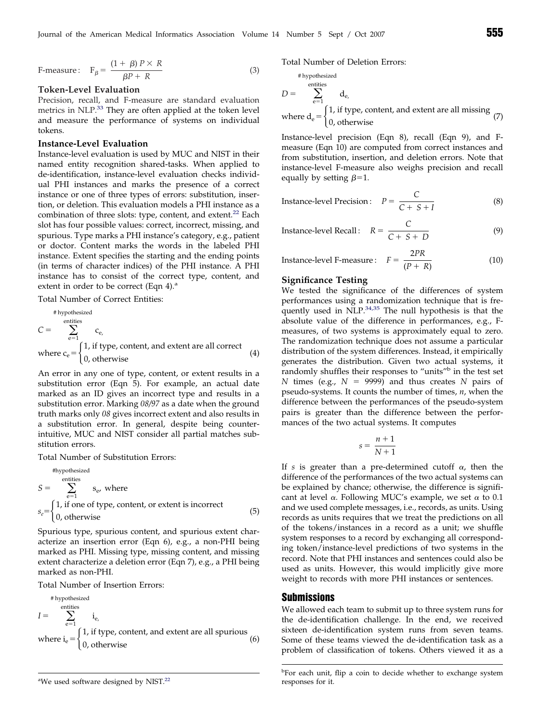$$
\text{F-measure:} \quad \mathbf{F}_{\beta} = \frac{(1+\beta) \, P \times \, R}{\beta P + \, R} \tag{3}
$$

#### **Token-Level Evaluation**

Precision, recall, and F-measure are standard evaluation metrics in NLP.<sup>33</sup> They are often applied at the token level and measure the performance of systems on individual tokens.

#### **Instance-Level Evaluation**

Instance-level evaluation is used by MUC and NIST in their named entity recognition shared-tasks. When applied to de-identification, instance-level evaluation checks individual PHI instances and marks the presence of a correct instance or one of three types of errors: substitution, insertion, or deletion. This evaluation models a PHI instance as a combination of three slots: type, content, and extent.<sup>22</sup> Each slot has four possible values: correct, incorrect, missing, and spurious. Type marks a PHI instance's category, e.g., patient or doctor. Content marks the words in the labeled PHI instance. Extent specifies the starting and the ending points (in terms of character indices) of the PHI instance. A PHI instance has to consist of the correct type, content, and extent in order to be correct (Eqn  $4$ ).<sup>a</sup>

Total Number of Correct Entities:

# hypothesisized  
\n
$$
C = \sum_{e=1}^{\text{entities}} c_e,
$$
\nwhere  $c_e = \begin{cases} 1, & \text{if type, content, and extent are all correct} \\ 0, & \text{otherwise} \end{cases}$  (4)

An error in any one of type, content, or extent results in a substitution error (Eqn 5). For example, an actual date marked as an ID gives an incorrect type and results in a substitution error. Marking *08/97* as a date when the ground truth marks only *08* gives incorrect extent and also results in a substitution error. In general, despite being counterintuitive, MUC and NIST consider all partial matches substitution errors.

Total Number of Substitution Errors:

$$
s = \sum_{e=1}^{\text{entities}} s_e, \text{ where}
$$
\n
$$
s_e = \begin{cases}\n1, & \text{if one of type, content, or extent is incorrect} \\
0, & \text{otherwise}\n\end{cases}
$$
\n(5)

Spurious type, spurious content, and spurious extent characterize an insertion error (Eqn 6), e.g., a non-PHI being marked as PHI. Missing type, missing content, and missing extent characterize a deletion error (Eqn 7), e.g., a PHI being marked as non-PHI.

Total Number of Insertion Errors:

# hypothesisized  
entities  

$$
I = \sum_{e=1}^{entities} i_e
$$

where  $i_e = \begin{cases} 1 & \text{if } i_e = 1 \\ 0 & \text{if } i_e = 1 \end{cases}$ 1, if type, content, and extent are all spurious 0, otherwise (6) Total Number of Deletion Errors:

*D* -

# hypothesisized  
\n
$$
D = \sum_{e=1}^{\text{entities}} d_e,
$$
\nwhere  $d_e = \begin{cases} 1, & \text{if type, content, and extent are all missing} \\ 0, & \text{otherwise} \end{cases}$  (7)

Instance-level precision (Eqn 8), recall (Eqn 9), and Fmeasure (Eqn 10) are computed from correct instances and from substitution, insertion, and deletion errors. Note that instance-level F-measure also weighs precision and recall equally by setting  $\beta$ =1.

Instance-level Precision: 
$$
P = \frac{C}{C + S + I}
$$
 (8)

$$
Instance-level Recall: \quad R = \frac{C}{C + S + D}
$$
 (9)

Instance-level F-measure: 
$$
F = \frac{2PR}{(P + R)}
$$
 (10)

#### **Significance Testing**

We tested the significance of the differences of system performances using a randomization technique that is frequently used in NLP.<sup>34,35</sup> The null hypothesis is that the absolute value of the difference in performances, e.g., Fmeasures, of two systems is approximately equal to zero. The randomization technique does not assume a particular distribution of the system differences. Instead, it empirically generates the distribution. Given two actual systems, it randomly shuffles their responses to "units"<sup>b</sup> in the test set *N* times (e.g.,  $N = 9999$ ) and thus creates *N* pairs of pseudo-systems. It counts the number of times, *n*, when the difference between the performances of the pseudo-system pairs is greater than the difference between the performances of the two actual systems. It computes

$$
s=\frac{n+1}{N+1}
$$

If *s* is greater than a pre-determined cutoff  $\alpha$ , then the difference of the performances of the two actual systems can be explained by chance; otherwise, the difference is significant at level  $\alpha$ . Following MUC's example, we set  $\alpha$  to 0.1 and we used complete messages, i.e., records, as units. Using records as units requires that we treat the predictions on all of the tokens/instances in a record as a unit; we shuffle system responses to a record by exchanging all corresponding token/instance-level predictions of two systems in the record. Note that PHI instances and sentences could also be used as units. However, this would implicitly give more weight to records with more PHI instances or sentences.

#### **Submissions**

We allowed each team to submit up to three system runs for the de-identification challenge. In the end, we received sixteen de-identification system runs from seven teams. Some of these teams viewed the de-identification task as a problem of classification of tokens. Others viewed it as a

<sup>&</sup>lt;sup>a</sup>We used software designed by NIST.<sup>22</sup>

<sup>&</sup>lt;sup>b</sup>For each unit, flip a coin to decide whether to exchange system responses for it.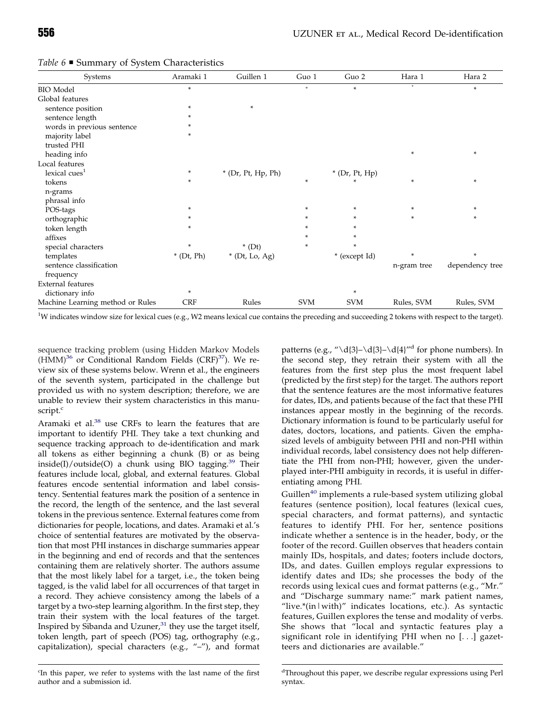| Systems                          | Aramaki 1   | Guillen 1           | Guo 1           | Guo 2           | Hara 1      | Hara 2          |
|----------------------------------|-------------|---------------------|-----------------|-----------------|-------------|-----------------|
| <b>BIO</b> Model                 | $\ast$      |                     | $\frac{1}{2^k}$ | ÷               |             | ÷               |
| Global features                  |             |                     |                 |                 |             |                 |
| sentence position                | *           | ÷                   |                 |                 |             |                 |
| sentence length                  | *           |                     |                 |                 |             |                 |
| words in previous sentence       | ÷           |                     |                 |                 |             |                 |
| majority label                   | ÷           |                     |                 |                 |             |                 |
| trusted PHI                      |             |                     |                 |                 |             |                 |
| heading info                     |             |                     |                 |                 | *           | *               |
| Local features                   |             |                     |                 |                 |             |                 |
| lexical $cues1$                  | *           | $*(Dr, Pt, Hp, Ph)$ |                 | $*(Dr, Pt, Hp)$ |             |                 |
| tokens                           | $\ast$      |                     | $\ast$          | $\mathbf{r}$    | $\ast$      | ÷               |
| n-grams                          |             |                     |                 |                 |             |                 |
| phrasal info                     |             |                     |                 |                 |             |                 |
| POS-tags                         | $\ast$      |                     | ÷               | ÷               | *           | ×               |
| orthographic                     | *           |                     | *               | *               | ×           | *               |
| token length                     | ÷           |                     | *               | ×               |             |                 |
| affixes                          |             |                     | *               | *               |             |                 |
| special characters               | ÷           | $*(Dt)$             | ÷               | *               |             |                 |
| templates                        | $*(Dt, Ph)$ | $*(Dt, Lo, Ag)$     |                 | * (except Id)   | *           | $\ast$          |
| sentence classification          |             |                     |                 |                 | n-gram tree | dependency tree |
| frequency                        |             |                     |                 |                 |             |                 |
| External features                |             |                     |                 |                 |             |                 |
| dictionary info                  | ÷           |                     |                 | *               |             |                 |
| Machine Learning method or Rules | <b>CRF</b>  | Rules               | <b>SVM</b>      | <b>SVM</b>      | Rules, SVM  | Rules, SVM      |

<span id="page-6-0"></span>*Table 6* ■ Summary of System Characteristics

<sup>1</sup>W indicates window size for lexical cues (e.g., W2 means lexical cue contains the preceding and succeeding 2 tokens with respect to the target).

sequence tracking problem (using Hidden Markov Models  $(HMM)^{36}$  or Conditional Random Fields  $(CRF)^{37}$ ). We review six of these systems below. Wrenn et al., the engineers of the seventh system, participated in the challenge but provided us with no system description; therefore, we are unable to review their system characteristics in this manuscript.<sup>c</sup>

Aramaki et al.<sup>38</sup> use CRFs to learn the features that are important to identify PHI. They take a text chunking and sequence tracking approach to de-identification and mark all tokens as either beginning a chunk (B) or as being inside(I)/outside(O) a chunk using BIO tagging[.39](#page-13-0) Their features include local, global, and external features. Global features encode sentential information and label consistency. Sentential features mark the position of a sentence in the record, the length of the sentence, and the last several tokens in the previous sentence. External features come from dictionaries for people, locations, and dates. Aramaki et al.'s choice of sentential features are motivated by the observation that most PHI instances in discharge summaries appear in the beginning and end of records and that the sentences containing them are relatively shorter. The authors assume that the most likely label for a target, i.e., the token being tagged, is the valid label for all occurrences of that target in a record. They achieve consistency among the labels of a target by a two-step learning algorithm. In the first step, they train their system with the local features of the target. Inspired by Sibanda and Uzuner,<sup>31</sup> they use the target itself, token length, part of speech (POS) tag, orthography (e.g., capitalization), special characters (e.g., "–"), and format

patterns (e.g., " $\ddot{\text{d}}$ 3}– $\ddot{\text{d}}$ 3}– $\ddot{\text{d}}$ 4}<sup>"d</sup> for phone numbers). In the second step, they retrain their system with all the features from the first step plus the most frequent label (predicted by the first step) for the target. The authors report that the sentence features are the most informative features for dates, IDs, and patients because of the fact that these PHI instances appear mostly in the beginning of the records. Dictionary information is found to be particularly useful for dates, doctors, locations, and patients. Given the emphasized levels of ambiguity between PHI and non-PHI within individual records, label consistency does not help differentiate the PHI from non-PHI; however, given the underplayed inter-PHI ambiguity in records, it is useful in differentiating among PHI.

Guillen<sup>[40](#page-13-0)</sup> implements a rule-based system utilizing global features (sentence position), local features (lexical cues, special characters, and format patterns), and syntactic features to identify PHI. For her, sentence positions indicate whether a sentence is in the header, body, or the footer of the record. Guillen observes that headers contain mainly IDs, hospitals, and dates; footers include doctors, IDs, and dates. Guillen employs regular expressions to identify dates and IDs; she processes the body of the records using lexical cues and format patterns (e.g., "Mr." and "Discharge summary name:" mark patient names, "live.\*(in|with)" indicates locations, etc.). As syntactic features, Guillen explores the tense and modality of verbs. She shows that "local and syntactic features play a significant role in identifying PHI when no [. . .] gazetteers and dictionaries are available."

c In this paper, we refer to systems with the last name of the first author and a submission id.

d Throughout this paper, we describe regular expressions using Perl syntax.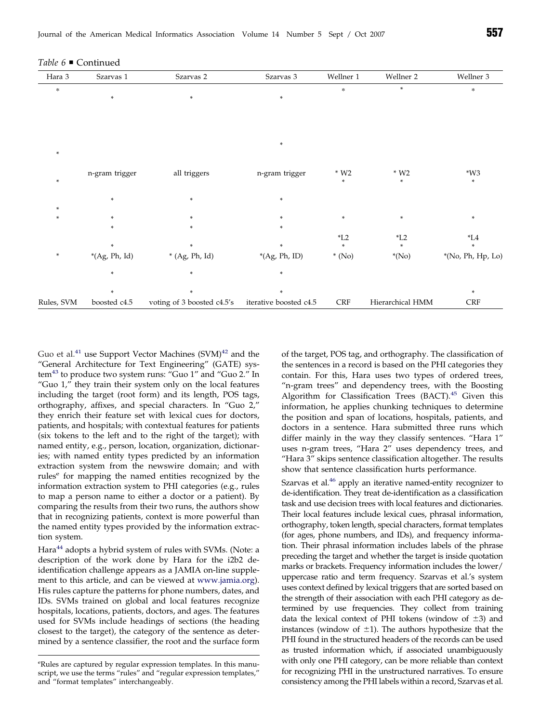| Hara 3     | Szarvas 1       | Szarvas 2                  | Szarvas 3              | Wellner 1                   | Wellner 2               | Wellner 3           |
|------------|-----------------|----------------------------|------------------------|-----------------------------|-------------------------|---------------------|
| $\ast$     | $\ast$          | $\ast$                     | $\ast$                 | $\approx$                   | *                       | $\ast$              |
|            |                 |                            |                        |                             |                         |                     |
|            |                 |                            | ×.                     |                             |                         |                     |
| $\ast$     |                 |                            |                        |                             |                         |                     |
| ÷          | n-gram trigger  | all triggers               | n-gram trigger         | $*$ W2<br>÷                 | $*$ W <sub>2</sub><br>× | $*W3$<br>$\ast$     |
|            | $\ast$          | $\ast$                     | $\ast$                 |                             |                         |                     |
| ×          |                 |                            |                        |                             |                         |                     |
| ÷          | $\ast$          | $\ast$                     | ×.                     | $\ast$                      | ×                       | ÷                   |
|            | *               | $\ast$                     | *                      |                             |                         |                     |
|            |                 |                            |                        | $^*L2$                      | $\mbox{{}^*\!L}2$       | $\mbox{^*L4}$       |
|            | $\ast$          | ×                          | ×.                     | ×.                          | $\ast$                  | $\star$             |
| ×          | $*(Ag, Ph, Id)$ | $*(Ag, Ph, Id)$            | $*(Ag, Ph, ID)$        | $*(No)$                     | $*(No)$                 | $*(No, Ph, Hp, Lo)$ |
|            | $\ast$          | $\ast$                     | *                      |                             |                         |                     |
|            | $\ast$          | ×                          | *                      |                             |                         | $\ast$              |
| Rules, SVM | boosted c4.5    | voting of 3 boosted c4.5's | iterative boosted c4.5 | $\ensuremath{\mathsf{CRF}}$ | Hierarchical HMM        | <b>CRF</b>          |

*Table 6* ■ Continued

Guo et al.<sup>41</sup> use Support Vector Machines  $(SVM)^{42}$  and the "General Architecture for Text Engineering" (GATE) syste[m43](#page-13-0) to produce two system runs: "Guo 1" and "Guo 2." In "Guo 1," they train their system only on the local features including the target (root form) and its length, POS tags, orthography, affixes, and special characters. In "Guo 2," they enrich their feature set with lexical cues for doctors, patients, and hospitals; with contextual features for patients (six tokens to the left and to the right of the target); with named entity, e.g., person, location, organization, dictionaries; with named entity types predicted by an information extraction system from the newswire domain; and with rules<sup>e</sup> for mapping the named entities recognized by the information extraction system to PHI categories (e.g., rules to map a person name to either a doctor or a patient). By comparing the results from their two runs, the authors show that in recognizing patients, context is more powerful than the named entity types provided by the information extraction system.

Hara<sup>44</sup> adopts a hybrid system of rules with SVMs. (Note: a description of the work done by Hara for the i2b2 deidentification challenge appears as a JAMIA on-line supplement to this article, and can be viewed at [www.jamia.org\)](http://www.jamia.org). His rules capture the patterns for phone numbers, dates, and IDs. SVMs trained on global and local features recognize hospitals, locations, patients, doctors, and ages. The features used for SVMs include headings of sections (the heading closest to the target), the category of the sentence as determined by a sentence classifier, the root and the surface form of the target, POS tag, and orthography. The classification of the sentences in a record is based on the PHI categories they contain. For this, Hara uses two types of ordered trees, "n-gram trees" and dependency trees, with the Boosting Algorithm for Classification Trees (BACT).<sup>45</sup> Given this information, he applies chunking techniques to determine the position and span of locations, hospitals, patients, and doctors in a sentence. Hara submitted three runs which differ mainly in the way they classify sentences. "Hara 1" uses n-gram trees, "Hara 2" uses dependency trees, and "Hara 3" skips sentence classification altogether. The results show that sentence classification hurts performance.

Szarvas et al.<sup>46</sup> apply an iterative named-entity recognizer to de-identification. They treat de-identification as a classification task and use decision trees with local features and dictionaries. Their local features include lexical cues, phrasal information, orthography, token length, special characters, format templates (for ages, phone numbers, and IDs), and frequency information. Their phrasal information includes labels of the phrase preceding the target and whether the target is inside quotation marks or brackets. Frequency information includes the lower/ uppercase ratio and term frequency. Szarvas et al.'s system uses context defined by lexical triggers that are sorted based on the strength of their association with each PHI category as determined by use frequencies. They collect from training data the lexical context of PHI tokens (window of  $\pm 3$ ) and instances (window of  $\pm$ 1). The authors hypothesize that the PHI found in the structured headers of the records can be used as trusted information which, if associated unambiguously with only one PHI category, can be more reliable than context for recognizing PHI in the unstructured narratives. To ensure consistency among the PHI labels within a record, Szarvas et al.

e Rules are captured by regular expression templates. In this manuscript, we use the terms "rules" and "regular expression templates," and "format templates" interchangeably.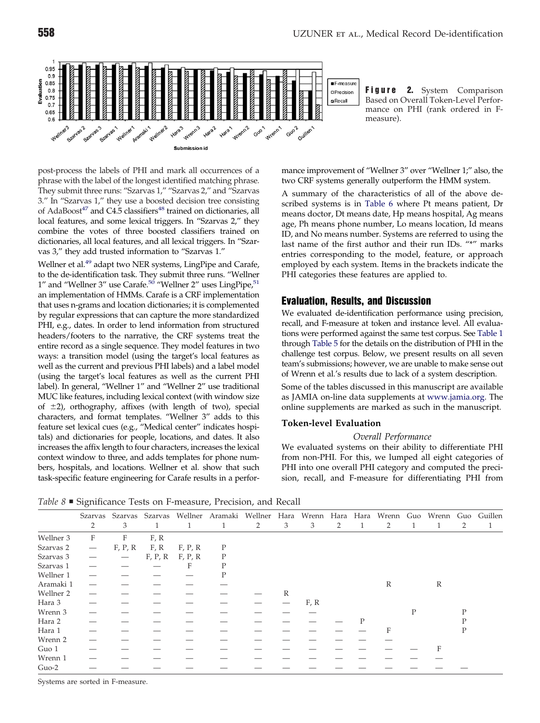<span id="page-8-0"></span>

**Figure 2.** System Comparison Based on Overall Token-Level Performance on PHI (rank ordered in Fmeasure).

post-process the labels of PHI and mark all occurrences of a phrase with the label of the longest identified matching phrase. They submit three runs: "Szarvas 1," "Szarvas 2," and "Szarvas 3." In "Szarvas 1," they use a boosted decision tree consisting of AdaBoost<sup>47</sup> and C4.5 classifiers<sup>48</sup> trained on dictionaries, all local features, and some lexical triggers. In "Szarvas 2," they combine the votes of three boosted classifiers trained on dictionaries, all local features, and all lexical triggers. In "Szarvas 3," they add trusted information to "Szarvas 1."

Wellner et al.<sup>49</sup> adapt two NER systems, LingPipe and Carafe, to the de-identification task. They submit three runs. "Wellner 1" and "Wellner 3" use Carafe.<sup>50</sup> "Wellner 2" uses LingPipe,<sup>51</sup> an implementation of HMMs. Carafe is a CRF implementation that uses n-grams and location dictionaries; it is complemented by regular expressions that can capture the more standardized PHI, e.g., dates. In order to lend information from structured headers/footers to the narrative, the CRF systems treat the entire record as a single sequence. They model features in two ways: a transition model (using the target's local features as well as the current and previous PHI labels) and a label model (using the target's local features as well as the current PHI label). In general, "Wellner 1" and "Wellner 2" use traditional MUC like features, including lexical context (with window size of  $\pm$ 2), orthography, affixes (with length of two), special characters, and format templates. "Wellner 3" adds to this feature set lexical cues (e.g., "Medical center" indicates hospitals) and dictionaries for people, locations, and dates. It also increases the affix length to four characters, increases the lexical context window to three, and adds templates for phone numbers, hospitals, and locations. Wellner et al. show that such task-specific feature engineering for Carafe results in a performance improvement of "Wellner 3" over "Wellner 1;" also, the two CRF systems generally outperform the HMM system.

A summary of the characteristics of all of the above described systems is in [Table 6](#page-6-0) where Pt means patient, Dr means doctor, Dt means date, Hp means hospital, Ag means age, Ph means phone number, Lo means location, Id means ID, and No means number. Systems are referred to using the last name of the first author and their run IDs. "\*" marks entries corresponding to the model, feature, or approach employed by each system. Items in the brackets indicate the PHI categories these features are applied to.

## **Evaluation, Results, and Discussion**

We evaluated de-identification performance using precision, recall, and F-measure at token and instance level. All evaluations were performed against the same test corpus. See [Table 1](#page-2-0) through [Table 5](#page-4-0) for the details on the distribution of PHI in the challenge test corpus. Below, we present results on all seven team's submissions; however, we are unable to make sense out of Wrenn et al.'s results due to lack of a system description.

Some of the tables discussed in this manuscript are available as JAMIA on-line data supplements at [www.jamia.org.](http://www.jamia.org) The online supplements are marked as such in the manuscript.

#### **Token-level Evaluation**

#### *Overall Performance*

We evaluated systems on their ability to differentiate PHI from non-PHI. For this, we lumped all eight categories of PHI into one overall PHI category and computed the precision, recall, and F-measure for differentiating PHI from

*Table 8* ■ Significance Tests on F-measure, Precision, and Recall

| ◡       |         |         |         |   |   |   |      |   |   |   |   |   |   |                                                                                  |
|---------|---------|---------|---------|---|---|---|------|---|---|---|---|---|---|----------------------------------------------------------------------------------|
| Szarvas |         |         |         |   |   |   |      |   |   |   |   |   |   |                                                                                  |
| 2       | 3       | 1       |         |   | 2 | 3 | 3    | 2 | 1 | 2 |   | 1 | 2 |                                                                                  |
| F       | F       | F, R    |         |   |   |   |      |   |   |   |   |   |   |                                                                                  |
|         | F, P, R | F, R    | F, P, R | P |   |   |      |   |   |   |   |   |   |                                                                                  |
|         |         | F, P, R | F, P, R | Ρ |   |   |      |   |   |   |   |   |   |                                                                                  |
|         |         |         | F       | P |   |   |      |   |   |   |   |   |   |                                                                                  |
|         |         |         |         | P |   |   |      |   |   |   |   |   |   |                                                                                  |
|         |         |         |         |   |   |   |      |   |   | R |   | R |   |                                                                                  |
|         |         |         |         |   |   | R |      |   |   |   |   |   |   |                                                                                  |
|         |         |         |         |   |   |   | F, R |   |   |   |   |   |   |                                                                                  |
|         |         |         |         |   |   |   |      |   |   |   | P |   | D |                                                                                  |
|         |         |         |         |   |   |   |      |   | P |   |   |   |   |                                                                                  |
|         |         |         |         |   |   |   |      |   |   | F |   |   | P |                                                                                  |
|         |         |         |         |   |   |   |      |   |   |   |   |   |   |                                                                                  |
|         |         |         |         |   |   |   |      |   |   |   |   | F |   |                                                                                  |
|         |         |         |         |   |   |   |      |   |   |   |   |   |   |                                                                                  |
|         |         |         |         |   |   |   |      |   |   |   |   |   |   |                                                                                  |
|         |         |         | Szarvas |   |   |   |      |   |   |   |   |   |   | Szarvas Wellner Aramaki Wellner Hara Wrenn Hara Hara Wrenn Guo Wrenn Guo Guillen |

Systems are sorted in F-measure.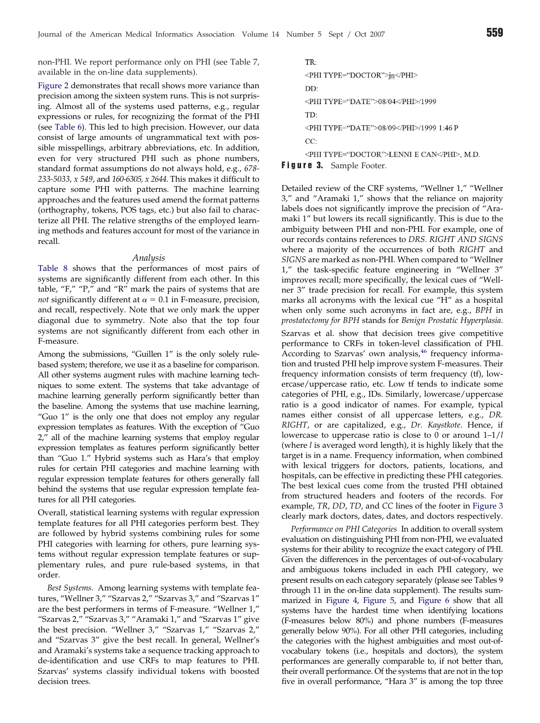non-PHI. We report performance only on PHI (see Table 7, available in the on-line data supplements).

[Figure 2](#page-8-0) demonstrates that recall shows more variance than precision among the sixteen system runs. This is not surprising. Almost all of the systems used patterns, e.g., regular expressions or rules, for recognizing the format of the PHI (see [Table 6\)](#page-6-0). This led to high precision. However, our data consist of large amounts of ungrammatical text with possible misspellings, arbitrary abbreviations, etc. In addition, even for very structured PHI such as phone numbers, standard format assumptions do not always hold, e.g., *678- 233-5033, x 549*, and *160-6305, x 2644*. This makes it difficult to capture some PHI with patterns. The machine learning approaches and the features used amend the format patterns (orthography, tokens, POS tags, etc.) but also fail to characterize all PHI. The relative strengths of the employed learning methods and features account for most of the variance in recall.

#### *Analysis*

[Table 8](#page-8-0) shows that the performances of most pairs of systems are significantly different from each other. In this table, "F," "P," and "R" mark the pairs of systems that are *not* significantly different at  $\alpha = 0.1$  in F-measure, precision, and recall, respectively. Note that we only mark the upper diagonal due to symmetry. Note also that the top four systems are not significantly different from each other in F-measure.

Among the submissions, "Guillen 1" is the only solely rulebased system; therefore, we use it as a baseline for comparison. All other systems augment rules with machine learning techniques to some extent. The systems that take advantage of machine learning generally perform significantly better than the baseline. Among the systems that use machine learning, "Guo 1" is the only one that does not employ any regular expression templates as features. With the exception of "Guo 2," all of the machine learning systems that employ regular expression templates as features perform significantly better than "Guo 1." Hybrid systems such as Hara's that employ rules for certain PHI categories and machine learning with regular expression template features for others generally fall behind the systems that use regular expression template features for all PHI categories.

Overall, statistical learning systems with regular expression template features for all PHI categories perform best. They are followed by hybrid systems combining rules for some PHI categories with learning for others, pure learning systems without regular expression template features or supplementary rules, and pure rule-based systems, in that order.

*Best Systems.* Among learning systems with template features, "Wellner 3," "Szarvas 2," "Szarvas 3," and "Szarvas 1" are the best performers in terms of F-measure. "Wellner 1," "Szarvas 2," "Szarvas 3," "Aramaki 1," and "Szarvas 1" give the best precision. "Wellner 3," "Szarvas 1," "Szarvas 2," and "Szarvas 3" give the best recall. In general, Wellner's and Aramaki's systems take a sequence tracking approach to de-identification and use CRFs to map features to PHI. Szarvas' systems classify individual tokens with boosted decision trees.



Detailed review of the CRF systems, "Wellner 1," "Wellner 3," and "Aramaki 1," shows that the reliance on majority labels does not significantly improve the precision of "Aramaki 1" but lowers its recall significantly. This is due to the ambiguity between PHI and non-PHI. For example, one of our records contains references to *DRS. RIGHT AND SIGNS* where a majority of the occurrences of both *RIGHT* and *SIGNS* are marked as non-PHI. When compared to "Wellner 1," the task-specific feature engineering in "Wellner 3" improves recall; more specifically, the lexical cues of "Wellner 3" trade precision for recall. For example, this system marks all acronyms with the lexical cue "H" as a hospital when only some such acronyms in fact are, e.g., *BPH* in *prostatectomy for BPH* stands for *Benign Prostatic Hyperplasia*. Szarvas et al. show that decision trees give competitive performance to CRFs in token-level classification of PHI. According to Szarvas' own analysis,<sup>46</sup> frequency information and trusted PHI help improve system F-measures. Their frequency information consists of term frequency (tf), lowercase/uppercase ratio, etc. Low tf tends to indicate some categories of PHI, e.g., IDs. Similarly, lowercase/uppercase ratio is a good indicator of names. For example, typical names either consist of all uppercase letters, e.g., *DR. RIGHT*, or are capitalized, e.g., *Dr. Kaystkote*. Hence, if lowercase to uppercase ratio is close to 0 or around 1–1/*l* (where *l* is averaged word length), it is highly likely that the target is in a name. Frequency information, when combined with lexical triggers for doctors, patients, locations, and hospitals, can be effective in predicting these PHI categories. The best lexical cues come from the trusted PHI obtained from structured headers and footers of the records. For example, *TR*, *DD*, *TD*, and *CC* lines of the footer in Figure 3 clearly mark doctors, dates, dates, and doctors respectively.

*Performance on PHI Categories* In addition to overall system evaluation on distinguishing PHI from non-PHI, we evaluated systems for their ability to recognize the exact category of PHI. Given the differences in the percentages of out-of-vocabulary and ambiguous tokens included in each PHI category, we present results on each category separately (please see Tables 9 through 11 in the on-line data supplement). The results summarized in [Figure 4,](#page-10-0) [Figure 5,](#page-10-0) and [Figure 6](#page-10-0) show that all systems have the hardest time when identifying locations (F-measures below 80%) and phone numbers (F-measures generally below 90%). For all other PHI categories, including the categories with the highest ambiguities and most out-ofvocabulary tokens (i.e., hospitals and doctors), the system performances are generally comparable to, if not better than, their overall performance. Of the systems that are not in the top five in overall performance, "Hara 3" is among the top three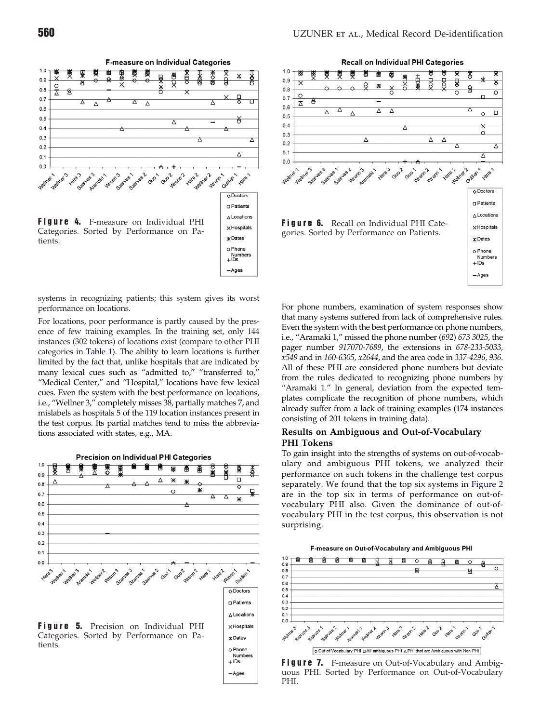<span id="page-10-0"></span>

systems in recognizing patients; this system gives its worst performance on locations.

For locations, poor performance is partly caused by the presence of few training examples. In the training set, only 144 instances (302 tokens) of locations exist (compare to other PHI categories in [Table 1\)](#page-2-0). The ability to learn locations is further limited by the fact that, unlike hospitals that are indicated by many lexical cues such as "admitted to," "transferred to," "Medical Center," and "Hospital," locations have few lexical cues. Even the system with the best performance on locations, i.e., "Wellner 3," completely misses 38, partially matches 7, and mislabels as hospitals 5 of the 119 location instances present in the test corpus. Its partial matches tend to miss the abbreviations associated with states, e.g., MA.





For phone numbers, examination of system responses show that many systems suffered from lack of comprehensive rules. Even the system with the best performance on phone numbers, i.e., "Aramaki 1," missed the phone number (*692*) *673 3025*, the pager number *917070-7689*, the extensions in *678-233-5033, x549* and in *160-6305, x2644*, and the area code in *337-4296, 936*. All of these PHI are considered phone numbers but deviate from the rules dedicated to recognizing phone numbers by "Aramaki 1." In general, deviation from the expected templates complicate the recognition of phone numbers, which already suffer from a lack of training examples (174 instances consisting of 201 tokens in training data).

## **Results on Ambiguous and Out-of-Vocabulary PHI Tokens**

To gain insight into the strengths of systems on out-of-vocabulary and ambiguous PHI tokens, we analyzed their performance on such tokens in the challenge test corpus separately. We found that the top six systems in [Figure 2](#page-8-0) are in the top six in terms of performance on out-ofvocabulary PHI also. Given the dominance of out-ofvocabulary PHI in the test corpus, this observation is not surprising.



**Figure 7.** F-measure on Out-of-Vocabulary and Ambiguous PHI. Sorted by Performance on Out-of-Vocabulary PHI.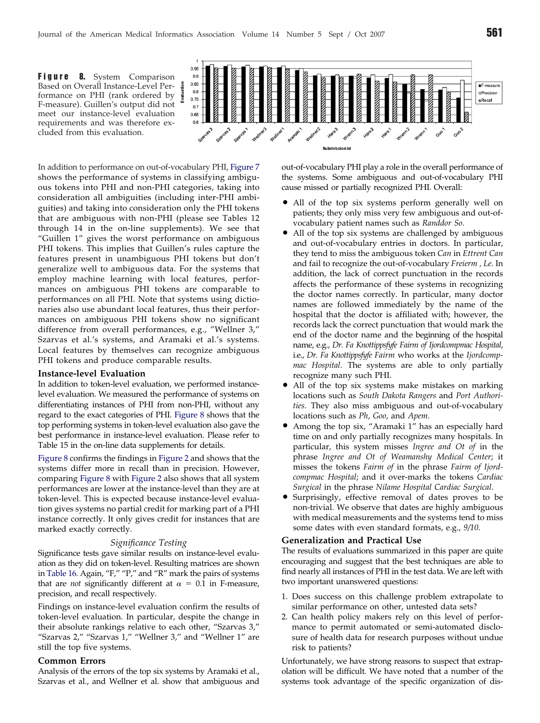**Figure 8.** System Comparison Based on Overall Instance-Level Performance on PHI (rank ordered by F-measure). Guillen's output did not meet our instance-level evaluation requirements and was therefore excluded from this evaluation.



In addition to performance on out-of-vocabulary PHI, [Figure 7](#page-10-0) shows the performance of systems in classifying ambiguous tokens into PHI and non-PHI categories, taking into consideration all ambiguities (including inter-PHI ambiguities) and taking into consideration only the PHI tokens that are ambiguous with non-PHI (please see Tables 12 through 14 in the on-line supplements). We see that "Guillen 1" gives the worst performance on ambiguous PHI tokens. This implies that Guillen's rules capture the features present in unambiguous PHI tokens but don't generalize well to ambiguous data. For the systems that employ machine learning with local features, performances on ambiguous PHI tokens are comparable to performances on all PHI. Note that systems using dictionaries also use abundant local features, thus their performances on ambiguous PHI tokens show no significant difference from overall performances, e.g., "Wellner 3," Szarvas et al.'s systems, and Aramaki et al.'s systems. Local features by themselves can recognize ambiguous PHI tokens and produce comparable results.

#### **Instance-level Evaluation**

In addition to token-level evaluation, we performed instancelevel evaluation. We measured the performance of systems on differentiating instances of PHI from non-PHI, without any regard to the exact categories of PHI. Figure 8 shows that the top performing systems in token-level evaluation also gave the best performance in instance-level evaluation. Please refer to Table 15 in the on-line data supplements for details.

Figure 8 confirms the findings in [Figure 2](#page-8-0) and shows that the systems differ more in recall than in precision. However, comparing Figure 8 with [Figure 2](#page-8-0) also shows that all system performances are lower at the instance-level than they are at token-level. This is expected because instance-level evaluation gives systems no partial credit for marking part of a PHI instance correctly. It only gives credit for instances that are marked exactly correctly.

#### *Significance Testing*

Significance tests gave similar results on instance-level evaluation as they did on token-level. Resulting matrices are shown in [Table 16.](#page-12-0) Again, "F," "P," and "R" mark the pairs of systems that are *not* significantly different at  $\alpha = 0.1$  in F-measure, precision, and recall respectively.

Findings on instance-level evaluation confirm the results of token-level evaluation. In particular, despite the change in their absolute rankings relative to each other, "Szarvas 3," "Szarvas 2," "Szarvas 1," "Wellner 3," and "Wellner 1" are still the top five systems.

#### **Common Errors**

Analysis of the errors of the top six systems by Aramaki et al., Szarvas et al., and Wellner et al. show that ambiguous and out-of-vocabulary PHI play a role in the overall performance of the systems. Some ambiguous and out-of-vocabulary PHI cause missed or partially recognized PHI. Overall:

- All of the top six systems perform generally well on patients; they only miss very few ambiguous and out-ofvocabulary patient names such as *Randdor So*.
- All of the top six systems are challenged by ambiguous and out-of-vocabulary entries in doctors. In particular, they tend to miss the ambiguous token *Can* in *Ettrent Can* and fail to recognize the out-of-vocabulary *Freierm , Le*. In addition, the lack of correct punctuation in the records affects the performance of these systems in recognizing the doctor names correctly. In particular, many doctor names are followed immediately by the name of the hospital that the doctor is affiliated with; however, the records lack the correct punctuation that would mark the end of the doctor name and the beginning of the hospital name, e.g., *Dr. Fa Knottippsfyfe Fairm of Ijordcompmac Hospital*, i.e., *Dr. Fa Knottippsfyfe Fairm* who works at the *Ijordcompmac Hospital*. The systems are able to only partially recognize many such PHI.
- All of the top six systems make mistakes on marking locations such as *South Dakota Rangers* and *Port Authorities*. They also miss ambiguous and out-of-vocabulary locations such as *Ph*, *Goo*, and *Apem*.
- Among the top six, "Aramaki 1" has an especially hard time on and only partially recognizes many hospitals. In particular, this system misses *Ingree and Ot of* in the phrase *Ingree and Ot of Weamanshy Medical Center*; it misses the tokens *Fairm of* in the phrase *Fairm of Ijordcompmac Hospital*; and it over-marks the tokens *Cardiac Surgical* in the phrase *Nilame Hospital Cardiac Surgical*.
- Surprisingly, effective removal of dates proves to be non-trivial. We observe that dates are highly ambiguous with medical measurements and the systems tend to miss some dates with even standard formats, e.g., *9/10*.

#### **Generalization and Practical Use**

The results of evaluations summarized in this paper are quite encouraging and suggest that the best techniques are able to find nearly all instances of PHI in the test data. We are left with two important unanswered questions:

- 1. Does success on this challenge problem extrapolate to similar performance on other, untested data sets?
- 2. Can health policy makers rely on this level of performance to permit automated or semi-automated disclosure of health data for research purposes without undue risk to patients?

Unfortunately, we have strong reasons to suspect that extrapolation will be difficult. We have noted that a number of the systems took advantage of the specific organization of dis-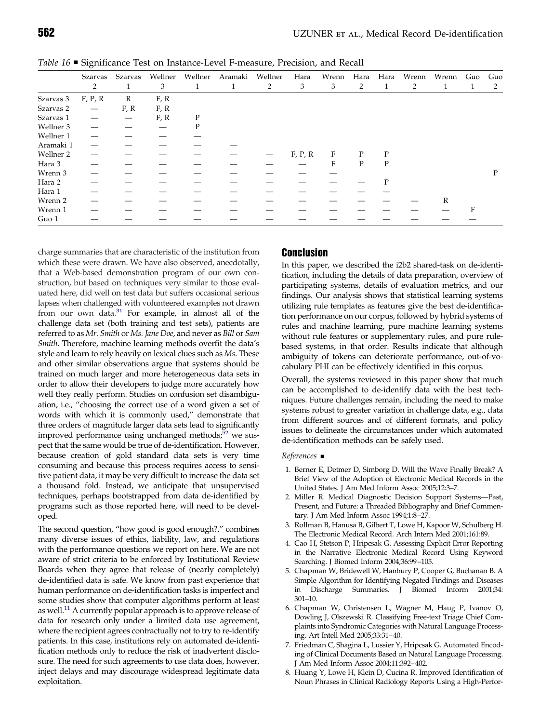|                      | Szarvas                  | Szarvas                  | Wellner | Wellner      | Aramaki | Wellner | Hara    | Wrenn       | Hara         | Hara | Wrenn | Wrenn | Guo          | Guo |
|----------------------|--------------------------|--------------------------|---------|--------------|---------|---------|---------|-------------|--------------|------|-------|-------|--------------|-----|
|                      | 2                        | 1                        | 3       | $\mathbf{1}$ | 1       | 2       | 3       | 3           | 2            | 1    | 2     | 1     | $\mathbf{1}$ | 2   |
| Szarvas 3            | F, P, R                  | R                        | F, R    |              |         |         |         |             |              |      |       |       |              |     |
| Szarvas <sub>2</sub> | $\overline{\phantom{0}}$ | F, R                     | F, R    |              |         |         |         |             |              |      |       |       |              |     |
| Szarvas 1            |                          | $\overline{\phantom{m}}$ | F, R    | $\mathbf P$  |         |         |         |             |              |      |       |       |              |     |
| Wellner 3            |                          |                          |         | P            |         |         |         |             |              |      |       |       |              |     |
| Wellner 1            |                          |                          |         |              |         |         |         |             |              |      |       |       |              |     |
| Aramaki 1            |                          |                          |         |              |         |         |         |             |              |      |       |       |              |     |
| Wellner 2            |                          |                          |         |              |         |         | F, P, R | $\mathbf F$ | P            | P    |       |       |              |     |
| Hara 3               |                          |                          |         |              |         |         |         | F           | $\mathbf{P}$ | P    |       |       |              |     |
| Wrenn 3              |                          |                          |         |              |         |         |         |             |              |      |       |       |              | P   |
| Hara 2               |                          |                          |         |              |         |         |         |             |              | P    |       |       |              |     |
| Hara 1               |                          |                          |         |              |         |         |         |             |              |      |       |       |              |     |
| Wrenn 2              |                          |                          |         |              |         |         |         |             |              |      |       | R     |              |     |
| Wrenn 1              |                          |                          |         |              |         |         |         |             |              |      |       |       | F            |     |
| Guo 1                |                          |                          |         |              |         |         |         |             |              |      |       |       |              |     |

<span id="page-12-0"></span>*Table 16* • Significance Test on Instance-Level F-measure, Precision, and Recall

charge summaries that are characteristic of the institution from which these were drawn. We have also observed, anecdotally, that a Web-based demonstration program of our own construction, but based on techniques very similar to those evaluated here, did well on test data but suffers occasional serious lapses when challenged with volunteered examples not drawn from our own data[.31](#page-13-0) For example, in almost all of the challenge data set (both training and test sets), patients are referred to as *Mr. Smith* or *Ms. Jane Doe*, and never as *Bill* or *Sam Smith*. Therefore, machine learning methods overfit the data's style and learn to rely heavily on lexical clues such as *Ms*. These and other similar observations argue that systems should be trained on much larger and more heterogeneous data sets in order to allow their developers to judge more accurately how well they really perform. Studies on confusion set disambiguation, i.e., "choosing the correct use of a word given a set of words with which it is commonly used," demonstrate that three orders of magnitude larger data sets lead to significantly improved performance using unchanged methods;<sup>52</sup> we suspect that the same would be true of de-identification. However, because creation of gold standard data sets is very time consuming and because this process requires access to sensitive patient data, it may be very difficult to increase the data set a thousand fold. Instead, we anticipate that unsupervised techniques, perhaps bootstrapped from data de-identified by programs such as those reported here, will need to be developed.

The second question, "how good is good enough?," combines many diverse issues of ethics, liability, law, and regulations with the performance questions we report on here. We are not aware of strict criteria to be enforced by Institutional Review Boards when they agree that release of (nearly completely) de-identified data is safe. We know from past experience that human performance on de-identification tasks is imperfect and some studies show that computer algorithms perform at least as well.<sup>11</sup> A currently popular approach is to approve release of data for research only under a limited data use agreement, where the recipient agrees contractually not to try to re-identify patients. In this case, institutions rely on automated de-identification methods only to reduce the risk of inadvertent disclosure. The need for such agreements to use data does, however, inject delays and may discourage widespread legitimate data exploitation.

## **Conclusion**

In this paper, we described the i2b2 shared-task on de-identification, including the details of data preparation, overview of participating systems, details of evaluation metrics, and our findings. Our analysis shows that statistical learning systems utilizing rule templates as features give the best de-identification performance on our corpus, followed by hybrid systems of rules and machine learning, pure machine learning systems without rule features or supplementary rules, and pure rulebased systems, in that order. Results indicate that although ambiguity of tokens can deteriorate performance, out-of-vocabulary PHI can be effectively identified in this corpus.

Overall, the systems reviewed in this paper show that much can be accomplished to de-identify data with the best techniques. Future challenges remain, including the need to make systems robust to greater variation in challenge data, e.g., data from different sources and of different formats, and policy issues to delineate the circumstances under which automated de-identification methods can be safely used.

#### **References** ■

- 1. Berner E, Detmer D, Simborg D. Will the Wave Finally Break? A Brief View of the Adoption of Electronic Medical Records in the United States. J Am Med Inform Assoc 2005;12:3–7.
- 2. Miller R. Medical Diagnostic Decision Support Systems—Past, Present, and Future: a Threaded Bibliography and Brief Commentary. J Am Med Inform Assoc 1994;1:8 –27.
- 3. Rollman B, Hanusa B, Gilbert T, Lowe H, Kapoor W, Schulberg H. The Electronic Medical Record. Arch Intern Med 2001;161:89.
- 4. Cao H, Stetson P, Hripcsak G. Assessing Explicit Error Reporting in the Narrative Electronic Medical Record Using Keyword Searching. J Biomed Inform 2004;36:99 –105.
- 5. Chapman W, Bridewell W, Hanbury P, Cooper G, Buchanan B. A Simple Algorithm for Identifying Negated Findings and Diseases in Discharge Summaries. J Biomed Inform 2001;34: 301–10.
- 6. Chapman W, Christensen L, Wagner M, Haug P, Ivanov O, Dowling J, Olszewski R. Classifying Free-text Triage Chief Complaints into Syndromic Categories with Natural Language Processing. Art Intell Med 2005;33:31– 40.
- 7. Friedman C, Shagina L, Lussier Y, Hripcsak G. Automated Encoding of Clinical Documents Based on Natural Language Processing. J Am Med Inform Assoc 2004;11:392– 402.
- 8. Huang Y, Lowe H, Klein D, Cucina R. Improved Identification of Noun Phrases in Clinical Radiology Reports Using a High-Perfor-